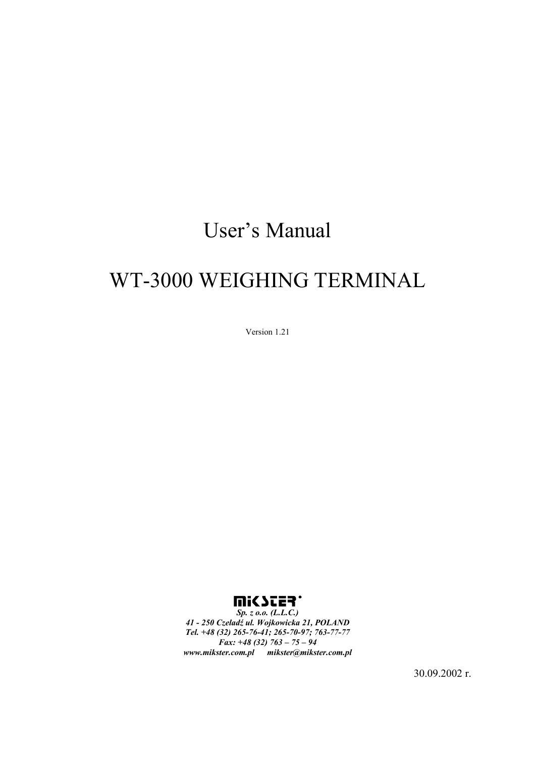# User's Manual

# WT-3000 WEIGHING TERMINAL

Version 1.21



*41 - 250 Czeladź ul. Wojkowicka 21, POLAND Tel. +48 (32) 265-76-41; 265-70-97; 763-77-77 Fax: +48 (32) 763 – 75 – 94 www.mikster.com.pl mikster@mikster.com.pl* 

30.09.2002 r.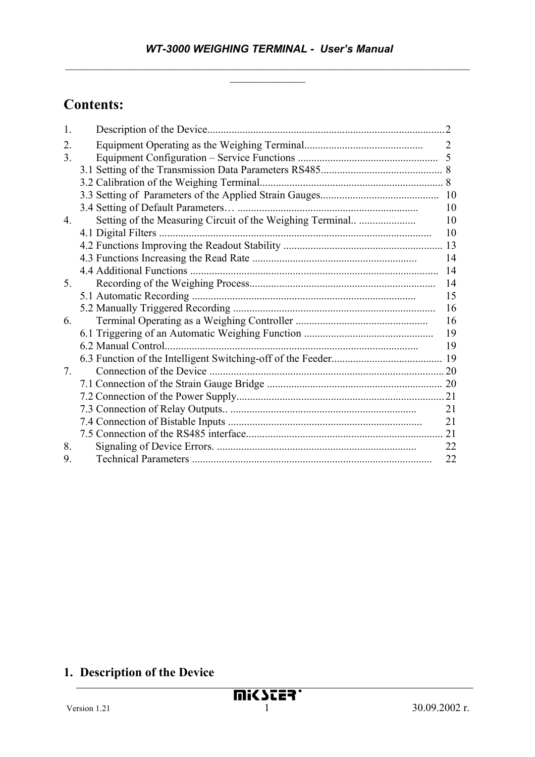# **Contents:**

| 1.                               |                                                           |                |
|----------------------------------|-----------------------------------------------------------|----------------|
| 2.                               |                                                           | $\overline{2}$ |
| 3.                               |                                                           |                |
|                                  |                                                           |                |
|                                  |                                                           |                |
|                                  |                                                           |                |
|                                  |                                                           | 10             |
| 4.                               | Setting of the Measuring Circuit of the Weighing Terminal | 10             |
|                                  |                                                           | 10             |
|                                  |                                                           |                |
|                                  |                                                           | 14             |
|                                  |                                                           | 14             |
| 5 <sub>1</sub>                   |                                                           | 14             |
|                                  |                                                           | 15             |
|                                  |                                                           | 16             |
| 6.                               |                                                           | 16             |
|                                  |                                                           | 19             |
|                                  | 6.2 Manual Control                                        | 19             |
|                                  |                                                           |                |
| $7_{\scriptscriptstyle{\ddots}}$ |                                                           |                |
|                                  |                                                           |                |
|                                  |                                                           |                |
|                                  |                                                           | 21             |
|                                  |                                                           | 21             |
|                                  |                                                           | 21             |
| 8.                               |                                                           | 22             |
| 9.                               |                                                           | 22             |

# **1. Description of the Device**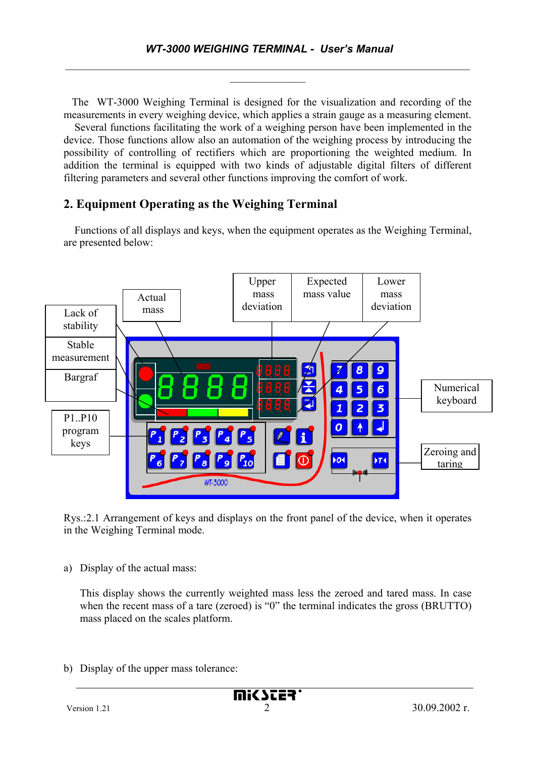The WT-3000 Weighing Terminal is designed for the visualization and recording of the measurements in every weighing device, which applies a strain gauge as a measuring element.

 Several functions facilitating the work of a weighing person have been implemented in the device. Those functions allow also an automation of the weighing process by introducing the possibility of controlling of rectifiers which are proportioning the weighted medium. In addition the terminal is equipped with two kinds of adjustable digital filters of different filtering parameters and several other functions improving the comfort of work.

# **2. Equipment Operating as the Weighing Terminal**

 Functions of all displays and keys, when the equipment operates as the Weighing Terminal, are presented below:



Rys.:2.1 Arrangement of keys and displays on the front panel of the device, when it operates in the Weighing Terminal mode.

a) Display of the actual mass:

This display shows the currently weighted mass less the zeroed and tared mass. In case when the recent mass of a tare (zeroed) is "0" the terminal indicates the gross (BRUTTO) mass placed on the scales platform.

b) Display of the upper mass tolerance: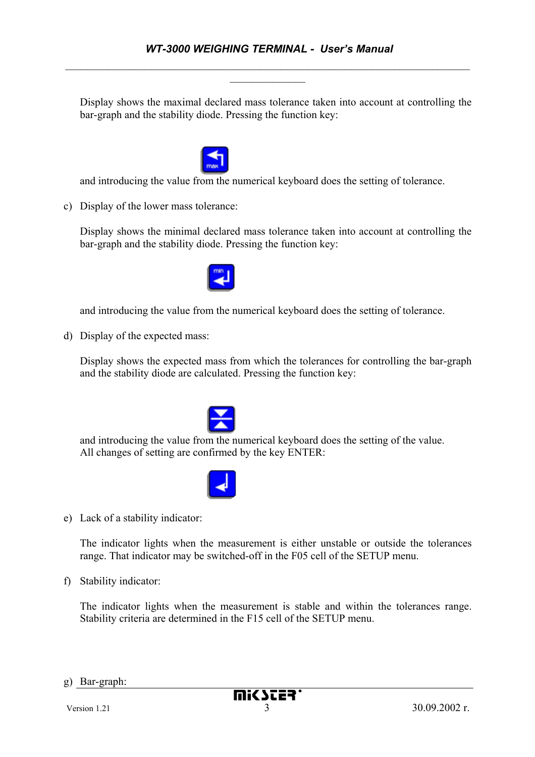Display shows the maximal declared mass tolerance taken into account at controlling the bar-graph and the stability diode. Pressing the function key:



and introducing the value from the numerical keyboard does the setting of tolerance.

c) Display of the lower mass tolerance:

Display shows the minimal declared mass tolerance taken into account at controlling the bar-graph and the stability diode. Pressing the function key:



and introducing the value from the numerical keyboard does the setting of tolerance.

d) Display of the expected mass:

Display shows the expected mass from which the tolerances for controlling the bar-graph and the stability diode are calculated. Pressing the function key:



and introducing the value from the numerical keyboard does the setting of the value. All changes of setting are confirmed by the key ENTER:



e) Lack of a stability indicator:

The indicator lights when the measurement is either unstable or outside the tolerances range. That indicator may be switched-off in the F05 cell of the SETUP menu.

f) Stability indicator:

The indicator lights when the measurement is stable and within the tolerances range. Stability criteria are determined in the F15 cell of the SETUP menu.

g) Bar-graph: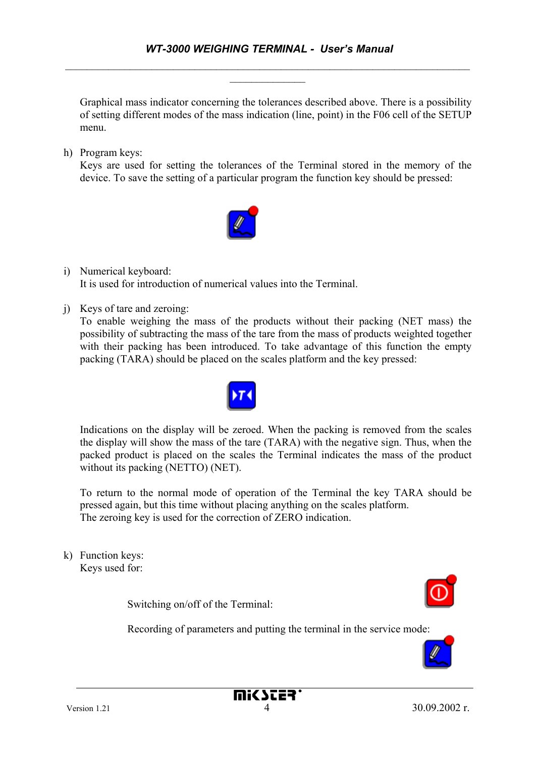Graphical mass indicator concerning the tolerances described above. There is a possibility of setting different modes of the mass indication (line, point) in the F06 cell of the SETUP menu.

h) Program keys:

Keys are used for setting the tolerances of the Terminal stored in the memory of the device. To save the setting of a particular program the function key should be pressed:



- i) Numerical keyboard: It is used for introduction of numerical values into the Terminal.
- j) Keys of tare and zeroing:

To enable weighing the mass of the products without their packing (NET mass) the possibility of subtracting the mass of the tare from the mass of products weighted together with their packing has been introduced. To take advantage of this function the empty packing (TARA) should be placed on the scales platform and the key pressed:



Indications on the display will be zeroed. When the packing is removed from the scales the display will show the mass of the tare (TARA) with the negative sign. Thus, when the packed product is placed on the scales the Terminal indicates the mass of the product without its packing (NETTO) (NET).

To return to the normal mode of operation of the Terminal the key TARA should be pressed again, but this time without placing anything on the scales platform. The zeroing key is used for the correction of ZERO indication.

k) Function keys: Keys used for:

Switching on/off of the Terminal:

Recording of parameters and putting the terminal in the service mode:

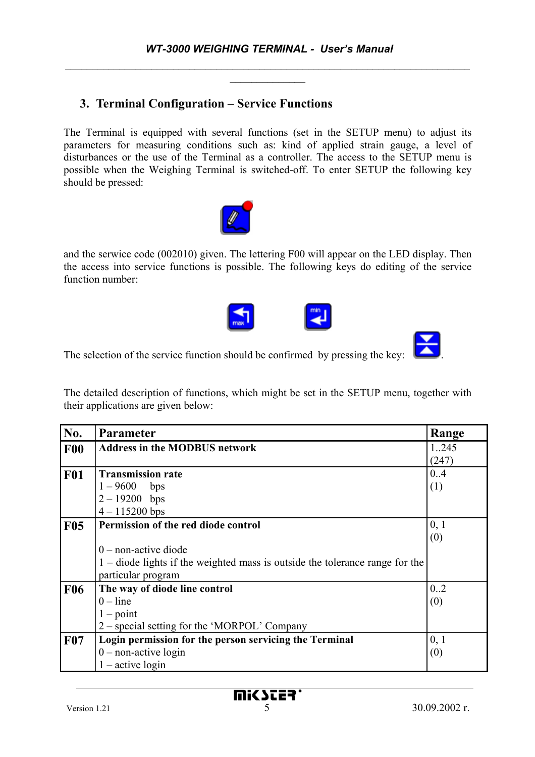# **3. Terminal Configuration – Service Functions**

The Terminal is equipped with several functions (set in the SETUP menu) to adjust its parameters for measuring conditions such as: kind of applied strain gauge, a level of disturbances or the use of the Terminal as a controller. The access to the SETUP menu is possible when the Weighing Terminal is switched-off. To enter SETUP the following key should be pressed:



and the serwice code (002010) given. The lettering F00 will appear on the LED display. Then the access into service functions is possible. The following keys do editing of the service function number:





The selection of the service function should be confirmed by pressing the key: .

The detailed description of functions, which might be set in the SETUP menu, together with their applications are given below:

| No.        | <b>Parameter</b>                                                             | Range |
|------------|------------------------------------------------------------------------------|-------|
| F00        | <b>Address in the MODBUS network</b>                                         | 1.245 |
|            |                                                                              | (247) |
| <b>F01</b> | <b>Transmission rate</b>                                                     | 0.4   |
|            | $1 - 9600$<br>bps                                                            | (1)   |
|            | $2 - 19200$ bps                                                              |       |
|            | $4 - 115200$ bps                                                             |       |
| <b>F05</b> | Permission of the red diode control                                          | 0, 1  |
|            |                                                                              | (0)   |
|            | $0$ – non-active diode                                                       |       |
|            | 1 – diode lights if the weighted mass is outside the tolerance range for the |       |
|            | particular program                                                           |       |
| <b>F06</b> | The way of diode line control                                                | 0.2   |
|            | $0$ – line                                                                   | (0)   |
|            | $1 - point$                                                                  |       |
|            | 2 – special setting for the 'MORPOL' Company                                 |       |
| <b>F07</b> | Login permission for the person servicing the Terminal                       | 0, 1  |
|            | $0$ – non-active login                                                       | (0)   |
|            | $1 -$ active login                                                           |       |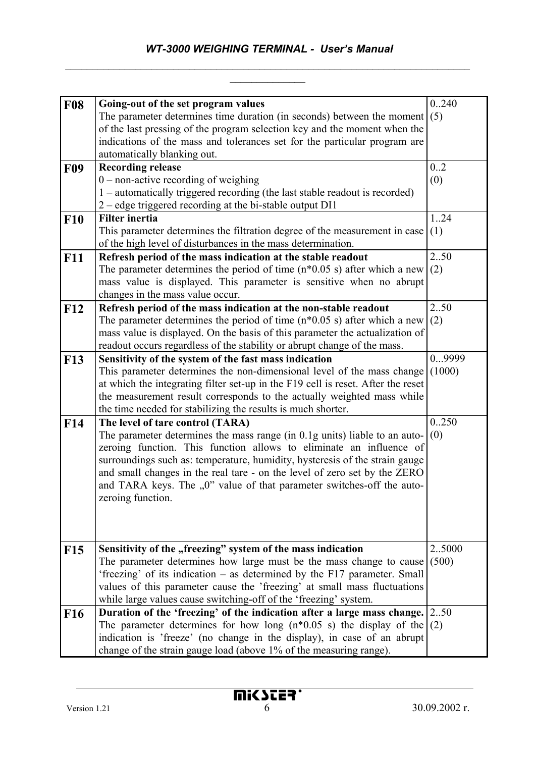| <b>F08</b>      | Going-out of the set program values                                                                                                         | 0.240          |
|-----------------|---------------------------------------------------------------------------------------------------------------------------------------------|----------------|
|                 | The parameter determines time duration (in seconds) between the moment                                                                      | (5)            |
|                 | of the last pressing of the program selection key and the moment when the                                                                   |                |
|                 | indications of the mass and tolerances set for the particular program are                                                                   |                |
|                 | automatically blanking out.                                                                                                                 |                |
| <b>F09</b>      | <b>Recording release</b>                                                                                                                    | 0.2            |
|                 | $0$ – non-active recording of weighing                                                                                                      | (0)            |
|                 | 1 – automatically triggered recording (the last stable readout is recorded)                                                                 |                |
|                 | 2 – edge triggered recording at the bi-stable output DI1                                                                                    |                |
| <b>F10</b>      | <b>Filter inertia</b>                                                                                                                       | 124            |
|                 | This parameter determines the filtration degree of the measurement in case                                                                  | (1)            |
|                 | of the high level of disturbances in the mass determination.                                                                                |                |
| <b>F11</b>      | Refresh period of the mass indication at the stable readout                                                                                 | 250            |
|                 | The parameter determines the period of time $(n*0.05 s)$ after which a new                                                                  | (2)            |
|                 | mass value is displayed. This parameter is sensitive when no abrupt                                                                         |                |
|                 | changes in the mass value occur.                                                                                                            |                |
| <b>F12</b>      | Refresh period of the mass indication at the non-stable readout                                                                             | 250            |
|                 | The parameter determines the period of time $(n*0.05 s)$ after which a new                                                                  | (2)            |
|                 | mass value is displayed. On the basis of this parameter the actualization of                                                                |                |
|                 | readout occurs regardless of the stability or abrupt change of the mass.                                                                    |                |
| <b>F13</b>      | Sensitivity of the system of the fast mass indication                                                                                       | 09999          |
|                 | This parameter determines the non-dimensional level of the mass change                                                                      | (1000)         |
|                 | at which the integrating filter set-up in the F19 cell is reset. After the reset                                                            |                |
|                 | the measurement result corresponds to the actually weighted mass while                                                                      |                |
|                 | the time needed for stabilizing the results is much shorter.                                                                                |                |
| F <sub>14</sub> | The level of tare control (TARA)                                                                                                            | 0250           |
|                 | The parameter determines the mass range (in 0.1g units) liable to an auto-                                                                  | (0)            |
|                 | zeroing function. This function allows to eliminate an influence of                                                                         |                |
|                 | surroundings such as: temperature, humidity, hysteresis of the strain gauge                                                                 |                |
|                 | and small changes in the real tare - on the level of zero set by the ZERO                                                                   |                |
|                 | and TARA keys. The "0" value of that parameter switches-off the auto-                                                                       |                |
|                 | zeroing function.                                                                                                                           |                |
|                 |                                                                                                                                             |                |
|                 |                                                                                                                                             |                |
|                 |                                                                                                                                             |                |
| <b>F15</b>      | Sensitivity of the "freezing" system of the mass indication<br>The parameter determines how large must be the mass change to cause          | 25000<br>(500) |
|                 | 'freezing' of its indication – as determined by the F17 parameter. Small                                                                    |                |
|                 | values of this parameter cause the 'freezing' at small mass fluctuations                                                                    |                |
|                 |                                                                                                                                             |                |
|                 | while large values cause switching-off of the 'freezing' system.<br>Duration of the 'freezing' of the indication after a large mass change. | 2.50           |
| F16             | The parameter determines for how long $(n*0.05 s)$ the display of the                                                                       | (2)            |
|                 | indication is 'freeze' (no change in the display), in case of an abrupt                                                                     |                |
|                 | change of the strain gauge load (above 1% of the measuring range).                                                                          |                |
|                 |                                                                                                                                             |                |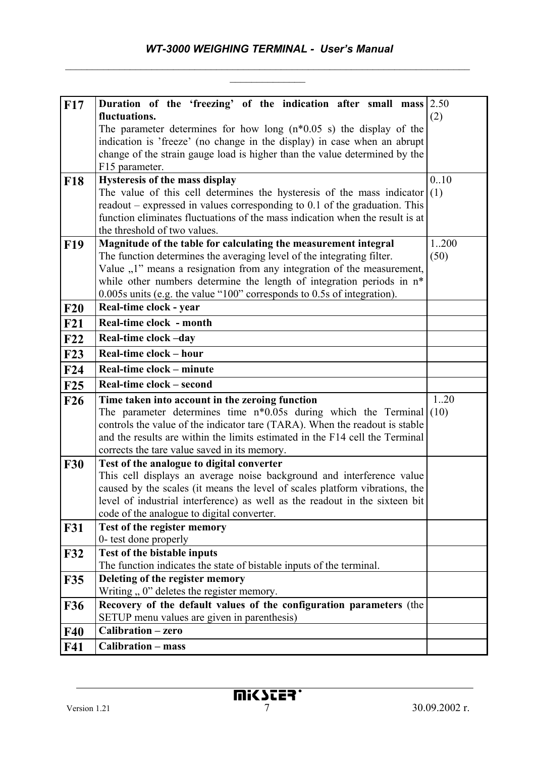| F17               | Duration of the 'freezing' of the indication after small mass                                                                                                 | 2.50 |
|-------------------|---------------------------------------------------------------------------------------------------------------------------------------------------------------|------|
|                   | fluctuations.                                                                                                                                                 | (2)  |
|                   | The parameter determines for how long $(n*0.05 s)$ the display of the                                                                                         |      |
|                   | indication is 'freeze' (no change in the display) in case when an abrupt                                                                                      |      |
|                   | change of the strain gauge load is higher than the value determined by the                                                                                    |      |
|                   | F15 parameter.                                                                                                                                                |      |
| <b>F18</b>        | Hysteresis of the mass display                                                                                                                                | 0.10 |
|                   | The value of this cell determines the hysteresis of the mass indicator                                                                                        | (1)  |
|                   | readout – expressed in values corresponding to $0.1$ of the graduation. This<br>function eliminates fluctuations of the mass indication when the result is at |      |
|                   | the threshold of two values.                                                                                                                                  |      |
| <b>F19</b>        | Magnitude of the table for calculating the measurement integral                                                                                               | 1200 |
|                   | The function determines the averaging level of the integrating filter.                                                                                        | (50) |
|                   | Value "1" means a resignation from any integration of the measurement,                                                                                        |      |
|                   | while other numbers determine the length of integration periods in n*                                                                                         |      |
|                   | 0.005s units (e.g. the value "100" corresponds to 0.5s of integration).                                                                                       |      |
| F20               | Real-time clock - year                                                                                                                                        |      |
| F21               | Real-time clock - month                                                                                                                                       |      |
| F22               | Real-time clock -day                                                                                                                                          |      |
| <b>F23</b>        | Real-time clock – hour                                                                                                                                        |      |
| F24               | Real-time clock - minute                                                                                                                                      |      |
| F25               | Real-time clock – second                                                                                                                                      |      |
| F26               | Time taken into account in the zeroing function                                                                                                               | 120  |
|                   | The parameter determines time $n*0.05s$ during which the Terminal                                                                                             | (10) |
|                   | controls the value of the indicator tare (TARA). When the readout is stable                                                                                   |      |
|                   |                                                                                                                                                               |      |
|                   | and the results are within the limits estimated in the F14 cell the Terminal                                                                                  |      |
|                   | corrects the tare value saved in its memory.                                                                                                                  |      |
| <b>F30</b>        | Test of the analogue to digital converter                                                                                                                     |      |
|                   | This cell displays an average noise background and interference value                                                                                         |      |
|                   | caused by the scales (it means the level of scales platform vibrations, the                                                                                   |      |
|                   | level of industrial interference) as well as the readout in the sixteen bit                                                                                   |      |
|                   | code of the analogue to digital converter.                                                                                                                    |      |
| <b>F31</b>        | Test of the register memory<br>0- test done properly                                                                                                          |      |
| F32               | <b>Test of the bistable inputs</b>                                                                                                                            |      |
|                   | The function indicates the state of bistable inputs of the terminal.                                                                                          |      |
| <b>F35</b>        | Deleting of the register memory                                                                                                                               |      |
|                   | Writing $, 0$ " deletes the register memory.                                                                                                                  |      |
| <b>F36</b>        | Recovery of the default values of the configuration parameters (the                                                                                           |      |
|                   | SETUP menu values are given in parenthesis)                                                                                                                   |      |
| <b>F40</b><br>F41 | Calibration - zero<br><b>Calibration - mass</b>                                                                                                               |      |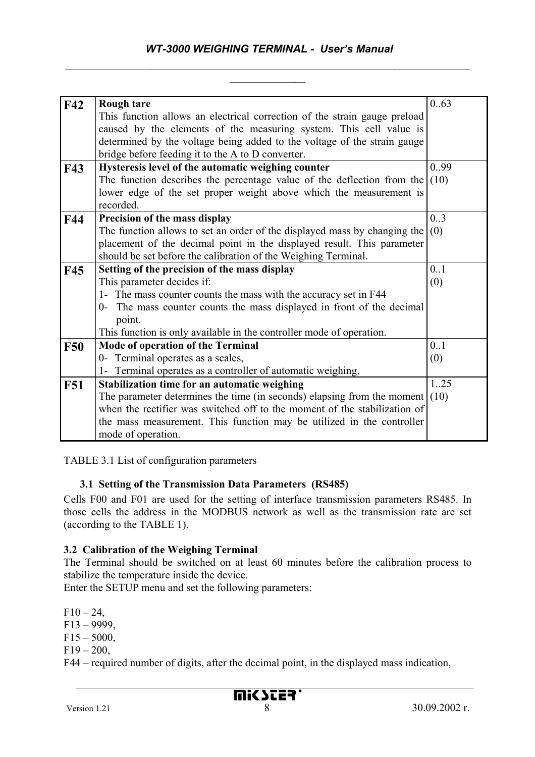# *WT-3000 WEIGHING TERMINAL - User's Manual*   $\_$  , and the contribution of the contribution of  $\mathcal{L}_\mathcal{A}$  , and the contribution of  $\mathcal{L}_\mathcal{A}$

 $\frac{1}{2}$ 

| F42        | <b>Rough tare</b>                                                         | 0.63 |
|------------|---------------------------------------------------------------------------|------|
|            | This function allows an electrical correction of the strain gauge preload |      |
|            | caused by the elements of the measuring system. This cell value is        |      |
|            | determined by the voltage being added to the voltage of the strain gauge  |      |
|            | bridge before feeding it to the A to D converter.                         |      |
| <b>F43</b> | Hysteresis level of the automatic weighing counter                        | 0.99 |
|            | The function describes the percentage value of the deflection from the    | (10) |
|            | lower edge of the set proper weight above which the measurement is        |      |
|            | recorded.                                                                 |      |
| F44        | Precision of the mass display                                             | 0.3  |
|            | The function allows to set an order of the displayed mass by changing the | (0)  |
|            | placement of the decimal point in the displayed result. This parameter    |      |
|            | should be set before the calibration of the Weighing Terminal.            |      |
| <b>F45</b> | Setting of the precision of the mass display                              | 0.1  |
|            | This parameter decides if:                                                | (0)  |
|            | 1- The mass counter counts the mass with the accuracy set in F44          |      |
|            | 0- The mass counter counts the mass displayed in front of the decimal     |      |
|            | point.                                                                    |      |
|            | This function is only available in the controller mode of operation.      |      |
| <b>F50</b> | Mode of operation of the Terminal                                         | 0.1  |
|            | 0- Terminal operates as a scales,                                         | (0)  |
|            | 1- Terminal operates as a controller of automatic weighing.               |      |
| <b>F51</b> | Stabilization time for an automatic weighing                              | 1.25 |
|            | The parameter determines the time (in seconds) elapsing from the moment   | (10) |
|            | when the rectifier was switched off to the moment of the stabilization of |      |
|            | the mass measurement. This function may be utilized in the controller     |      |
|            | mode of operation.                                                        |      |

TABLE 3.1 List of configuration parameters

# **3.1 Setting of the Transmission Data Parameters (RS485)**

Cells F00 and F01 are used for the setting of interface transmission parameters RS485. In those cells the address in the MODBUS network as well as the transmission rate are set (according to the TABLE 1).

#### **3.2 Calibration of the Weighing Terminal**

The Terminal should be switched on at least 60 minutes before the calibration process to stabilize the temperature inside the device.

Enter the SETUP menu and set the following parameters:

 $F10 - 24$ ,  $F13 - 9999$ ,

 $F15 - 5000$ ,

 $F19 - 200$ ,

F44 – required number of digits, after the decimal point, in the displayed mass indication,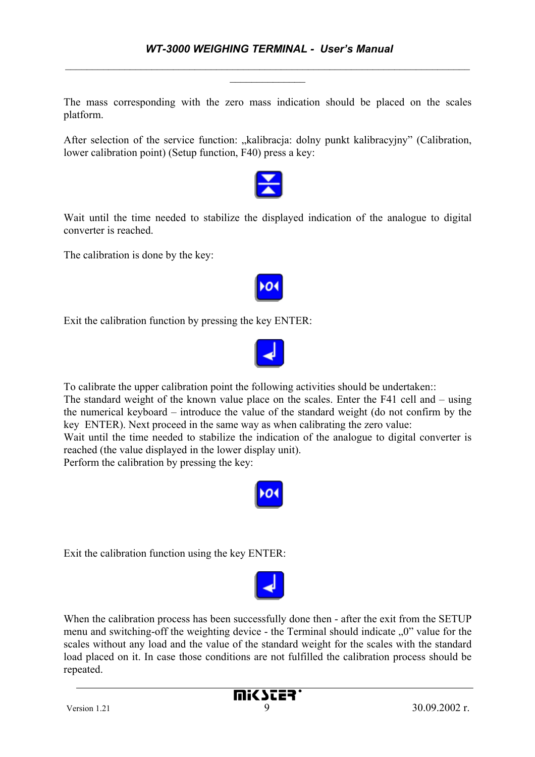The mass corresponding with the zero mass indication should be placed on the scales platform.

After selection of the service function: "kalibracja: dolny punkt kalibracyjny" (Calibration, lower calibration point) (Setup function, F40) press a key:



Wait until the time needed to stabilize the displayed indication of the analogue to digital converter is reached.

The calibration is done by the key:

Exit the calibration function by pressing the key ENTER:



To calibrate the upper calibration point the following activities should be undertaken::

The standard weight of the known value place on the scales. Enter the F41 cell and – using the numerical keyboard – introduce the value of the standard weight (do not confirm by the key ENTER). Next proceed in the same way as when calibrating the zero value:

Wait until the time needed to stabilize the indication of the analogue to digital converter is reached (the value displayed in the lower display unit).

Perform the calibration by pressing the key:



Exit the calibration function using the key ENTER:



When the calibration process has been successfully done then - after the exit from the SETUP menu and switching-off the weighting device - the Terminal should indicate  $\sqrt{0}$  value for the scales without any load and the value of the standard weight for the scales with the standard load placed on it. In case those conditions are not fulfilled the calibration process should be repeated.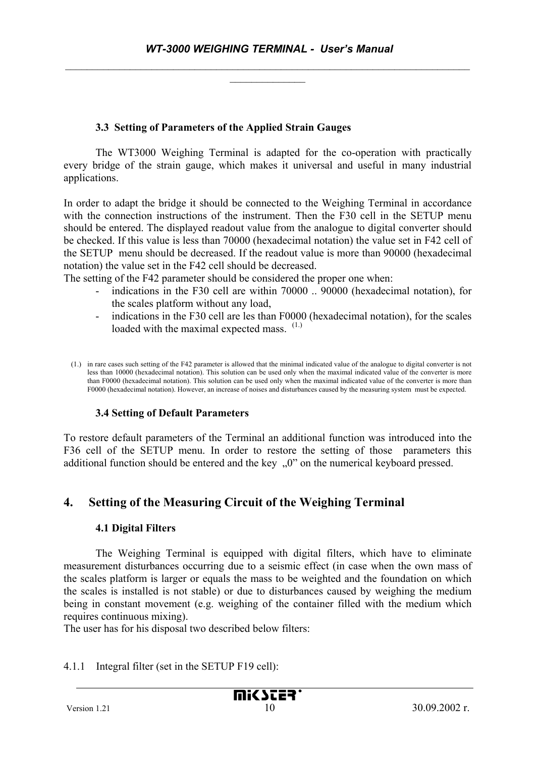#### **3.3 Setting of Parameters of the Applied Strain Gauges**

The WT3000 Weighing Terminal is adapted for the co-operation with practically every bridge of the strain gauge, which makes it universal and useful in many industrial applications.

In order to adapt the bridge it should be connected to the Weighing Terminal in accordance with the connection instructions of the instrument. Then the F30 cell in the SETUP menu should be entered. The displayed readout value from the analogue to digital converter should be checked. If this value is less than 70000 (hexadecimal notation) the value set in F42 cell of the SETUP menu should be decreased. If the readout value is more than 90000 (hexadecimal notation) the value set in the F42 cell should be decreased.

The setting of the F42 parameter should be considered the proper one when:

- indications in the F30 cell are within 70000 .. 90000 (hexadecimal notation), for the scales platform without any load,
- indications in the F30 cell are les than F0000 (hexadecimal notation), for the scales loaded with the maximal expected mass.  $(1)$

#### **3.4 Setting of Default Parameters**

To restore default parameters of the Terminal an additional function was introduced into the F36 cell of the SETUP menu. In order to restore the setting of those parameters this additional function should be entered and the key "0" on the numerical keyboard pressed.

# **4. Setting of the Measuring Circuit of the Weighing Terminal**

#### **4.1 Digital Filters**

The Weighing Terminal is equipped with digital filters, which have to eliminate measurement disturbances occurring due to a seismic effect (in case when the own mass of the scales platform is larger or equals the mass to be weighted and the foundation on which the scales is installed is not stable) or due to disturbances caused by weighing the medium being in constant movement (e.g. weighing of the container filled with the medium which requires continuous mixing).

The user has for his disposal two described below filters:

#### 4.1.1 Integral filter (set in the SETUP F19 cell):

<sup>(1.)</sup> in rare cases such setting of the F42 parameter is allowed that the minimal indicated value of the analogue to digital converter is not less than 10000 (hexadecimal notation). This solution can be used only when the maximal indicated value of the converter is more than F0000 (hexadecimal notation). This solution can be used only when the maximal indicated value of the converter is more than F0000 (hexadecimal notation). However, an increase of noises and disturbances caused by the measuring system must be expected.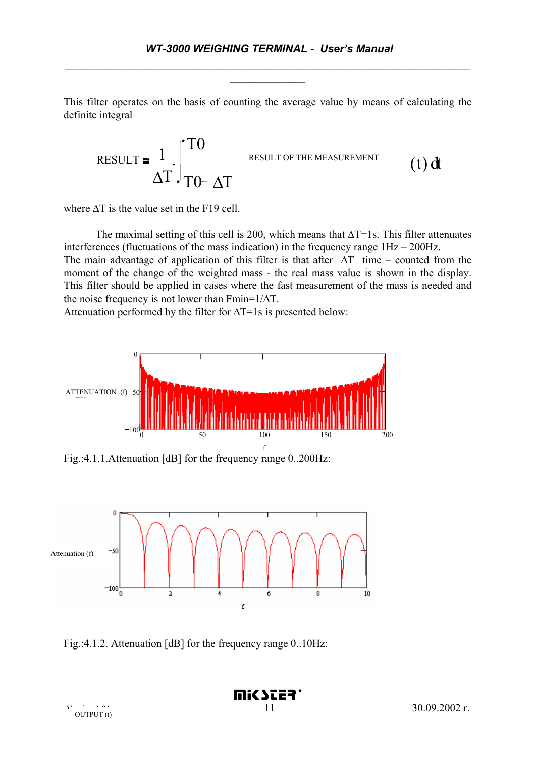This filter operates on the basis of counting the average value by means of calculating the definite integral



where  $\Delta T$  is the value set in the F19 cell.

The maximal setting of this cell is 200, which means that  $\Delta T=1$ s. This filter attenuates interferences (fluctuations of the mass indication) in the frequency range 1Hz – 200Hz.

The main advantage of application of this filter is that after  $\Delta T$  time – counted from the moment of the change of the weighted mass - the real mass value is shown in the display. This filter should be applied in cases where the fast measurement of the mass is needed and the noise frequency is not lower than Fmin= $1/\Delta T$ .

Attenuation performed by the filter for  $\Delta T=1$ s is presented below:



Fig.:4.1.1.Attenuation [dB] for the frequency range 0..200Hz:



Fig.:4.1.2. Attenuation [dB] for the frequency range 0..10Hz: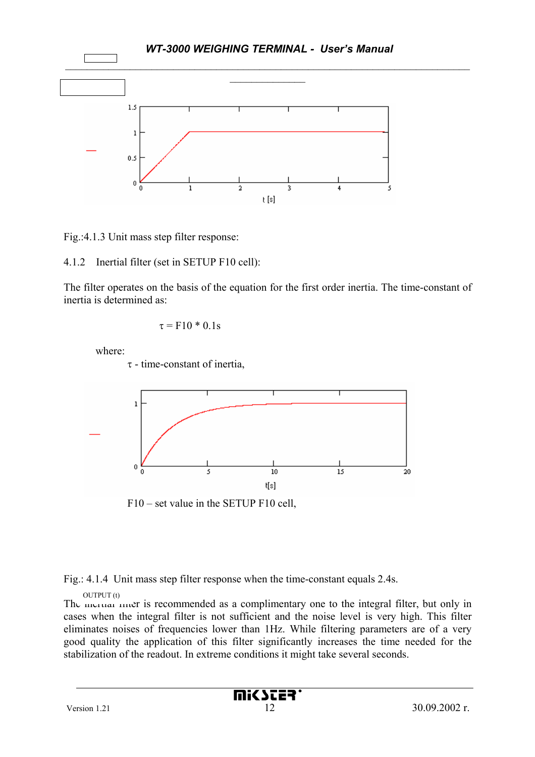

Fig.:4.1.3 Unit mass step filter response:

4.1.2 Inertial filter (set in SETUP F10 cell):

The filter operates on the basis of the equation for the first order inertia. The time-constant of inertia is determined as:

$$
\tau = F10*0.1s
$$

where:

τ - time-constant of inertia,



Fig.: 4.1.4 Unit mass step filter response when the time-constant equals 2.4s.

OUTPUT (t)

The merrial mer is recommended as a complimentary one to the integral filter, but only in cases when the integral filter is not sufficient and the noise level is very high. This filter eliminates noises of frequencies lower than 1Hz. While filtering parameters are of a very good quality the application of this filter significantly increases the time needed for the stabilization of the readout. In extreme conditions it might take several seconds.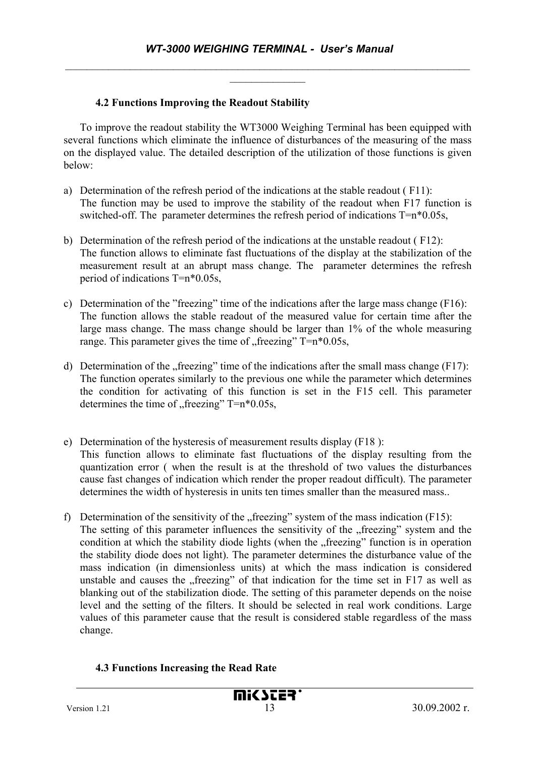#### **4.2 Functions Improving the Readout Stability**

To improve the readout stability the WT3000 Weighing Terminal has been equipped with several functions which eliminate the influence of disturbances of the measuring of the mass on the displayed value. The detailed description of the utilization of those functions is given below:

- a) Determination of the refresh period of the indications at the stable readout ( F11): The function may be used to improve the stability of the readout when F17 function is switched-off. The parameter determines the refresh period of indications T=n\*0.05s,
- b) Determination of the refresh period of the indications at the unstable readout ( F12): The function allows to eliminate fast fluctuations of the display at the stabilization of the measurement result at an abrupt mass change. The parameter determines the refresh period of indications T=n\*0.05s,
- c) Determination of the "freezing" time of the indications after the large mass change (F16): The function allows the stable readout of the measured value for certain time after the large mass change. The mass change should be larger than 1% of the whole measuring range. This parameter gives the time of  $\pi$  freezing" T=n\*0.05s,
- d) Determination of the  $n$ , freezing" time of the indications after the small mass change (F17): The function operates similarly to the previous one while the parameter which determines the condition for activating of this function is set in the F15 cell. This parameter determines the time of "freezing"  $T=n*0.05s$ ,
- e) Determination of the hysteresis of measurement results display (F18 ): This function allows to eliminate fast fluctuations of the display resulting from the quantization error ( when the result is at the threshold of two values the disturbances cause fast changes of indication which render the proper readout difficult). The parameter determines the width of hysteresis in units ten times smaller than the measured mass..
- f) Determination of the sensitivity of the "freezing" system of the mass indication  $(F15)$ : The setting of this parameter influences the sensitivity of the "freezing" system and the condition at which the stability diode lights (when the "freezing" function is in operation the stability diode does not light). The parameter determines the disturbance value of the mass indication (in dimensionless units) at which the mass indication is considered unstable and causes the "freezing" of that indication for the time set in F17 as well as blanking out of the stabilization diode. The setting of this parameter depends on the noise level and the setting of the filters. It should be selected in real work conditions. Large values of this parameter cause that the result is considered stable regardless of the mass change.

#### **4.3 Functions Increasing the Read Rate**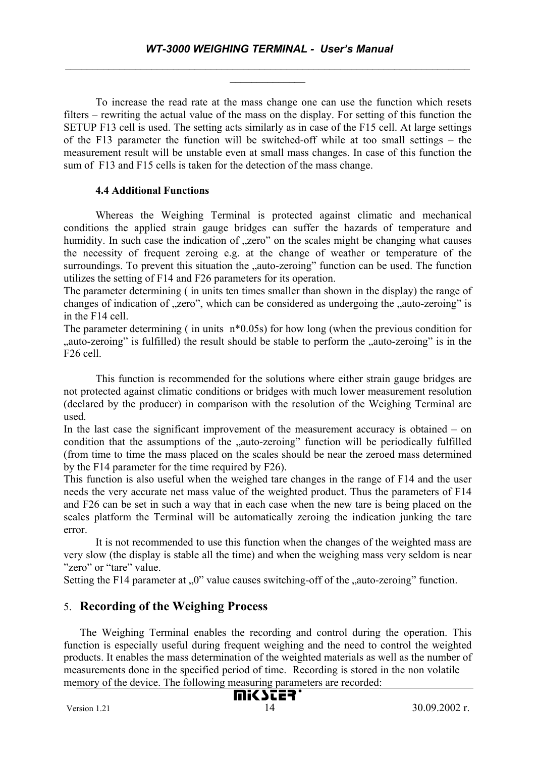To increase the read rate at the mass change one can use the function which resets filters – rewriting the actual value of the mass on the display. For setting of this function the SETUP F13 cell is used. The setting acts similarly as in case of the F15 cell. At large settings of the F13 parameter the function will be switched-off while at too small settings – the measurement result will be unstable even at small mass changes. In case of this function the sum of F13 and F15 cells is taken for the detection of the mass change.

#### **4.4 Additional Functions**

Whereas the Weighing Terminal is protected against climatic and mechanical conditions the applied strain gauge bridges can suffer the hazards of temperature and humidity. In such case the indication of "zero" on the scales might be changing what causes the necessity of frequent zeroing e.g. at the change of weather or temperature of the surroundings. To prevent this situation the "auto-zeroing" function can be used. The function utilizes the setting of F14 and F26 parameters for its operation.

The parameter determining ( in units ten times smaller than shown in the display) the range of changes of indication of "zero", which can be considered as undergoing the "auto-zeroing" is in the F14 cell.

The parameter determining (in units n<sup>\*0.05s)</sup> for how long (when the previous condition for "auto-zeroing" is fulfilled) the result should be stable to perform the "auto-zeroing" is in the F26 cell.

This function is recommended for the solutions where either strain gauge bridges are not protected against climatic conditions or bridges with much lower measurement resolution (declared by the producer) in comparison with the resolution of the Weighing Terminal are used.

In the last case the significant improvement of the measurement accuracy is obtained – on condition that the assumptions of the "auto-zeroing" function will be periodically fulfilled (from time to time the mass placed on the scales should be near the zeroed mass determined by the F14 parameter for the time required by F26).

This function is also useful when the weighed tare changes in the range of F14 and the user needs the very accurate net mass value of the weighted product. Thus the parameters of F14 and F26 can be set in such a way that in each case when the new tare is being placed on the scales platform the Terminal will be automatically zeroing the indication junking the tare error.

It is not recommended to use this function when the changes of the weighted mass are very slow (the display is stable all the time) and when the weighing mass very seldom is near "zero" or "tare" value.

Setting the F14 parameter at  $\alpha$ , 0" value causes switching-off of the  $\alpha$ , auto-zeroing" function.

# 5. **Recording of the Weighing Process**

The Weighing Terminal enables the recording and control during the operation. This function is especially useful during frequent weighing and the need to control the weighted products. It enables the mass determination of the weighted materials as well as the number of measurements done in the specified period of time. Recording is stored in the non volatile memory of the device. The following measuring parameters are recorded: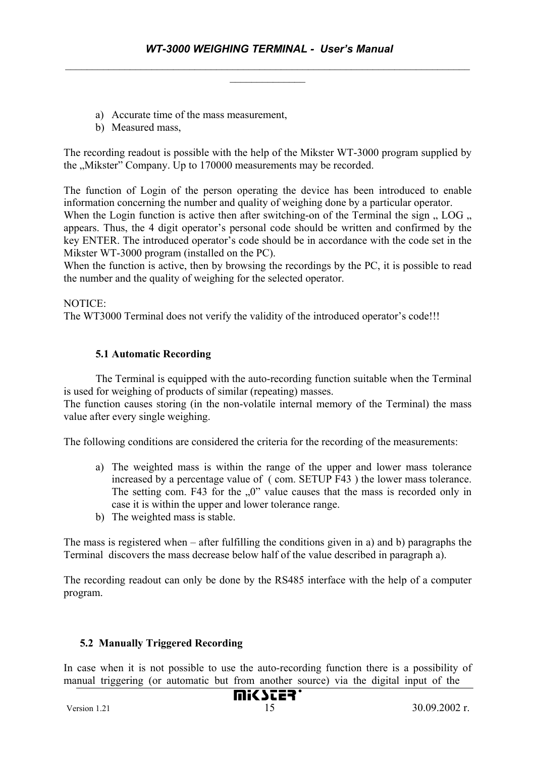- a) Accurate time of the mass measurement,
- b) Measured mass.

The recording readout is possible with the help of the Mikster WT-3000 program supplied by the "Mikster" Company. Up to 170000 measurements may be recorded.

The function of Login of the person operating the device has been introduced to enable information concerning the number and quality of weighing done by a particular operator. When the Login function is active then after switching-on of the Terminal the sign  $\ldots$  LOG  $\ldots$ appears. Thus, the 4 digit operator's personal code should be written and confirmed by the key ENTER. The introduced operator's code should be in accordance with the code set in the Mikster WT-3000 program (installed on the PC).

When the function is active, then by browsing the recordings by the PC, it is possible to read the number and the quality of weighing for the selected operator.

#### NOTICE:

The WT3000 Terminal does not verify the validity of the introduced operator's code!!!

#### **5.1 Automatic Recording**

The Terminal is equipped with the auto-recording function suitable when the Terminal is used for weighing of products of similar (repeating) masses.

The function causes storing (in the non-volatile internal memory of the Terminal) the mass value after every single weighing.

The following conditions are considered the criteria for the recording of the measurements:

- a) The weighted mass is within the range of the upper and lower mass tolerance increased by a percentage value of ( com. SETUP F43 ) the lower mass tolerance. The setting com. F43 for the  $.0$ " value causes that the mass is recorded only in case it is within the upper and lower tolerance range.
- b) The weighted mass is stable.

The mass is registered when – after fulfilling the conditions given in a) and b) paragraphs the Terminal discovers the mass decrease below half of the value described in paragraph a).

The recording readout can only be done by the RS485 interface with the help of a computer program.

### **5.2 Manually Triggered Recording**

In case when it is not possible to use the auto-recording function there is a possibility of manual triggering (or automatic but from another source) via the digital input of the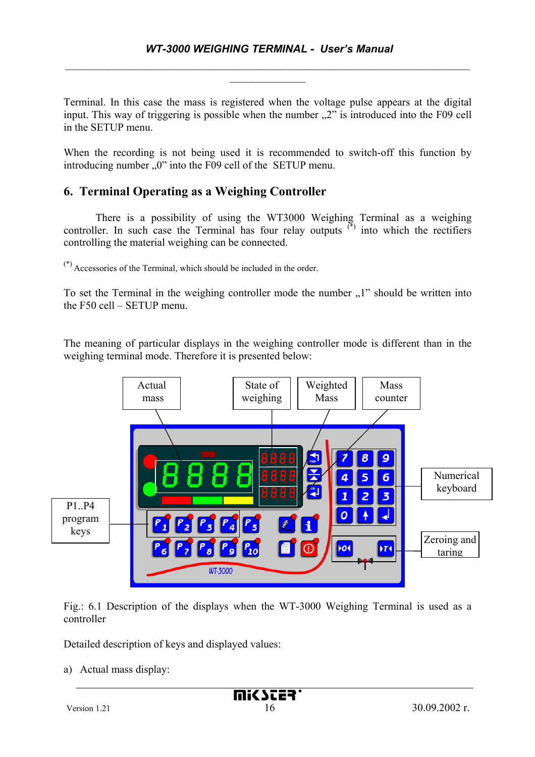Terminal. In this case the mass is registered when the voltage pulse appears at the digital input. This way of triggering is possible when the number  $\mathbb{R}^2$  is introduced into the F09 cell in the SETUP menu.

When the recording is not being used it is recommended to switch-off this function by introducing number  $.0$ " into the F09 cell of the SETUP menu.

# **6. Terminal Operating as a Weighing Controller**

 There is a possibility of using the WT3000 Weighing Terminal as a weighing controller. In such case the Terminal has four relay outputs  $(\cdot)$  into which the rectifiers controlling the material weighing can be connected.

(\*) Accessories of the Terminal, which should be included in the order.

To set the Terminal in the weighing controller mode the number  $,1$ " should be written into the F50 cell – SETUP menu.

The meaning of particular displays in the weighing controller mode is different than in the weighing terminal mode. Therefore it is presented below:



Fig.: 6.1 Description of the displays when the WT-3000 Weighing Terminal is used as a controller

Detailed description of keys and displayed values:

a) Actual mass display: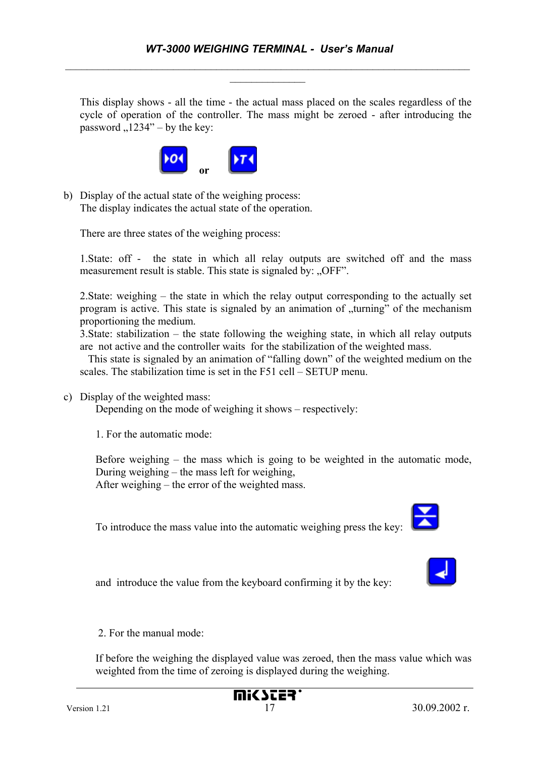This display shows - all the time - the actual mass placed on the scales regardless of the cycle of operation of the controller. The mass might be zeroed - after introducing the password  $,1234"$  – by the key:



b) Display of the actual state of the weighing process: The display indicates the actual state of the operation.

There are three states of the weighing process:

1.State: off - the state in which all relay outputs are switched off and the mass measurement result is stable. This state is signaled by: "OFF".

2.State: weighing – the state in which the relay output corresponding to the actually set program is active. This state is signaled by an animation of "turning" of the mechanism proportioning the medium.

3.State: stabilization – the state following the weighing state, in which all relay outputs are not active and the controller waits for the stabilization of the weighted mass.

 This state is signaled by an animation of "falling down" of the weighted medium on the scales. The stabilization time is set in the F51 cell – SETUP menu.

c) Display of the weighted mass:

Depending on the mode of weighing it shows – respectively:

1. For the automatic mode:

Before weighing – the mass which is going to be weighted in the automatic mode, During weighing – the mass left for weighing,

After weighing – the error of the weighted mass.

To introduce the mass value into the automatic weighing press the key:

and introduce the value from the keyboard confirming it by the key:

2. For the manual mode:

If before the weighing the displayed value was zeroed, then the mass value which was weighted from the time of zeroing is displayed during the weighing.





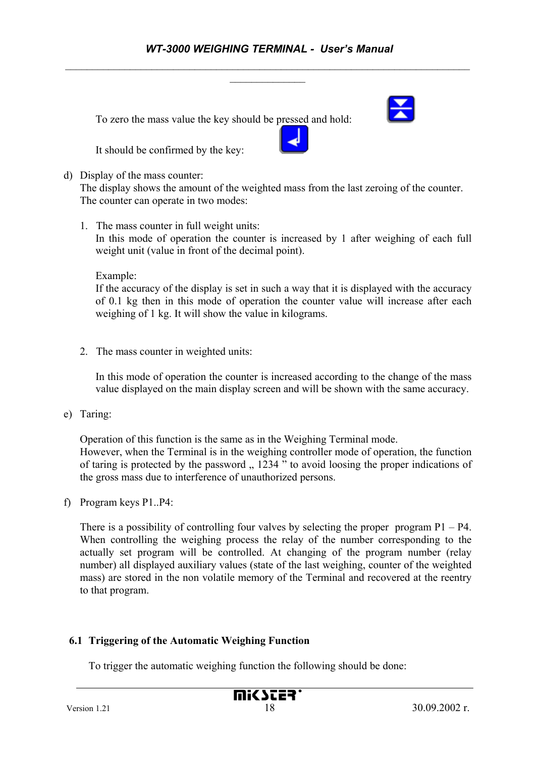To zero the mass value the key should be pressed and hold:

It should be confirmed by the key:

#### d) Display of the mass counter:

The display shows the amount of the weighted mass from the last zeroing of the counter. The counter can operate in two modes:

1. The mass counter in full weight units:

In this mode of operation the counter is increased by 1 after weighing of each full weight unit (value in front of the decimal point).

Example:

If the accuracy of the display is set in such a way that it is displayed with the accuracy of 0.1 kg then in this mode of operation the counter value will increase after each weighing of 1 kg. It will show the value in kilograms.

2. The mass counter in weighted units:

In this mode of operation the counter is increased according to the change of the mass value displayed on the main display screen and will be shown with the same accuracy.

e) Taring:

Operation of this function is the same as in the Weighing Terminal mode. However, when the Terminal is in the weighing controller mode of operation, the function of taring is protected by the password  $\frac{1234}{1234}$  to avoid loosing the proper indications of the gross mass due to interference of unauthorized persons.

f) Program keys P1..P4:

There is a possibility of controlling four valves by selecting the proper program  $P1 - P4$ . When controlling the weighing process the relay of the number corresponding to the actually set program will be controlled. At changing of the program number (relay number) all displayed auxiliary values (state of the last weighing, counter of the weighted mass) are stored in the non volatile memory of the Terminal and recovered at the reentry to that program.

# **6.1 Triggering of the Automatic Weighing Function**

To trigger the automatic weighing function the following should be done:

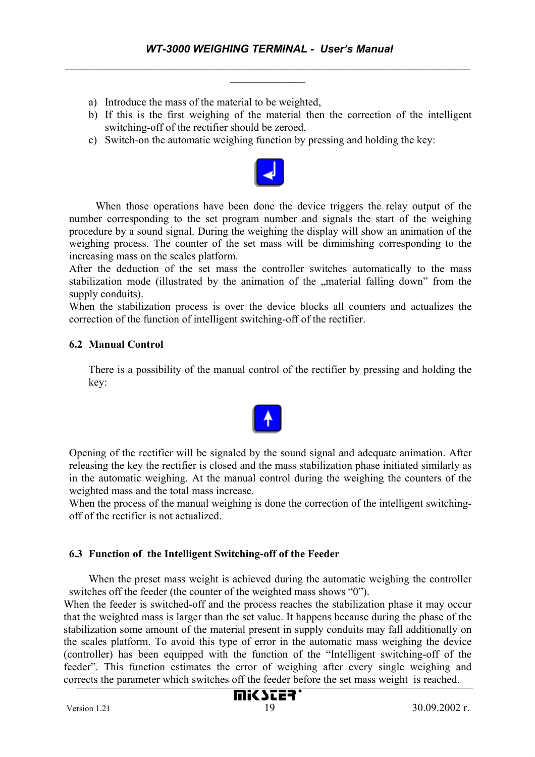- a) Introduce the mass of the material to be weighted,
- b) If this is the first weighing of the material then the correction of the intelligent switching-off of the rectifier should be zeroed,
- c) Switch-on the automatic weighing function by pressing and holding the key:



 When those operations have been done the device triggers the relay output of the number corresponding to the set program number and signals the start of the weighing procedure by a sound signal. During the weighing the display will show an animation of the weighing process. The counter of the set mass will be diminishing corresponding to the increasing mass on the scales platform.

After the deduction of the set mass the controller switches automatically to the mass stabilization mode (illustrated by the animation of the "material falling down" from the supply conduits).

When the stabilization process is over the device blocks all counters and actualizes the correction of the function of intelligent switching-off of the rectifier.

#### **6.2 Manual Control**

There is a possibility of the manual control of the rectifier by pressing and holding the key:



Opening of the rectifier will be signaled by the sound signal and adequate animation. After releasing the key the rectifier is closed and the mass stabilization phase initiated similarly as in the automatic weighing. At the manual control during the weighing the counters of the weighted mass and the total mass increase.

When the process of the manual weighing is done the correction of the intelligent switchingoff of the rectifier is not actualized.

#### **6.3 Function of the Intelligent Switching-off of the Feeder**

When the preset mass weight is achieved during the automatic weighing the controller switches off the feeder (the counter of the weighted mass shows "0").

When the feeder is switched-off and the process reaches the stabilization phase it may occur that the weighted mass is larger than the set value. It happens because during the phase of the stabilization some amount of the material present in supply conduits may fall additionally on the scales platform. To avoid this type of error in the automatic mass weighing the device (controller) has been equipped with the function of the "Intelligent switching-off of the feeder". This function estimates the error of weighing after every single weighing and corrects the parameter which switches off the feeder before the set mass weight is reached.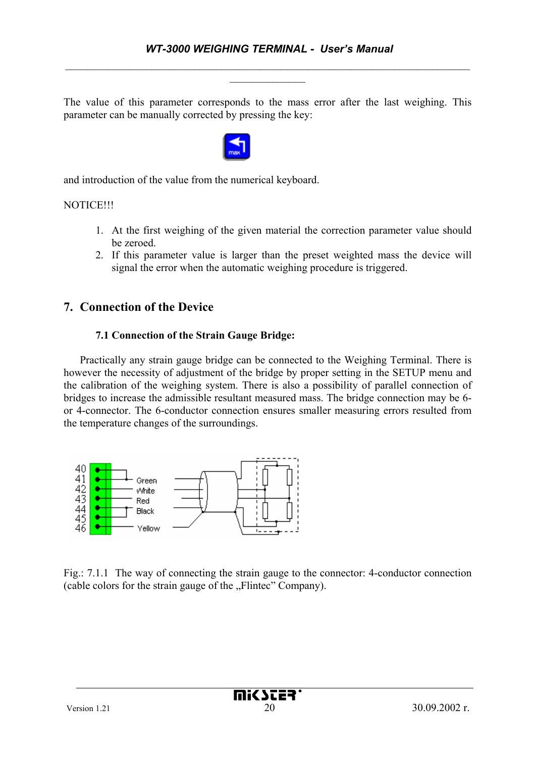The value of this parameter corresponds to the mass error after the last weighing. This parameter can be manually corrected by pressing the key:



and introduction of the value from the numerical keyboard.

#### **NOTICE!!!**

- 1. At the first weighing of the given material the correction parameter value should be zeroed.
- 2. If this parameter value is larger than the preset weighted mass the device will signal the error when the automatic weighing procedure is triggered.

# **7. Connection of the Device**

#### **7.1 Connection of the Strain Gauge Bridge:**

Practically any strain gauge bridge can be connected to the Weighing Terminal. There is however the necessity of adjustment of the bridge by proper setting in the SETUP menu and the calibration of the weighing system. There is also a possibility of parallel connection of bridges to increase the admissible resultant measured mass. The bridge connection may be 6 or 4-connector. The 6-conductor connection ensures smaller measuring errors resulted from the temperature changes of the surroundings.



Fig.: 7.1.1 The way of connecting the strain gauge to the connector: 4-conductor connection (cable colors for the strain gauge of the "Flintec" Company).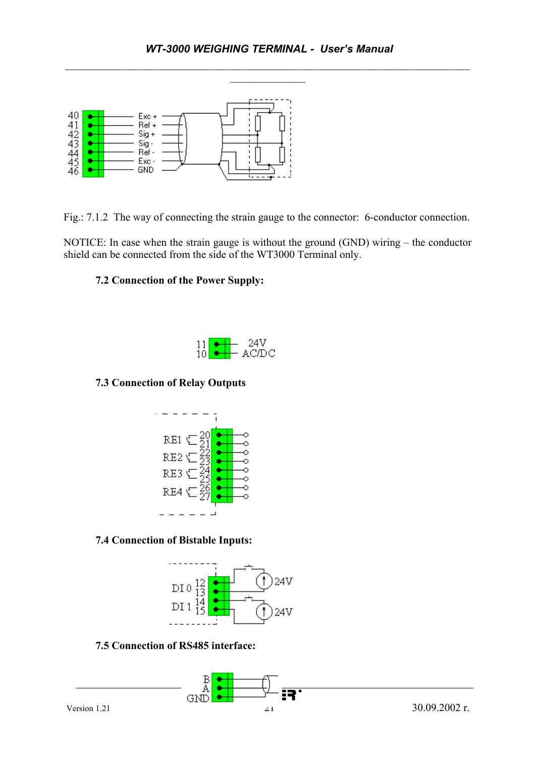

Fig.: 7.1.2 The way of connecting the strain gauge to the connector: 6-conductor connection.

NOTICE: In case when the strain gauge is without the ground (GND) wiring – the conductor shield can be connected from the side of the WT3000 Terminal only.

#### **7.2 Connection of the Power Supply:**



#### **7.3 Connection of Relay Outputs**



#### **7.4 Connection of Bistable Inputs:**



#### **7.5 Connection of RS485 interface:**